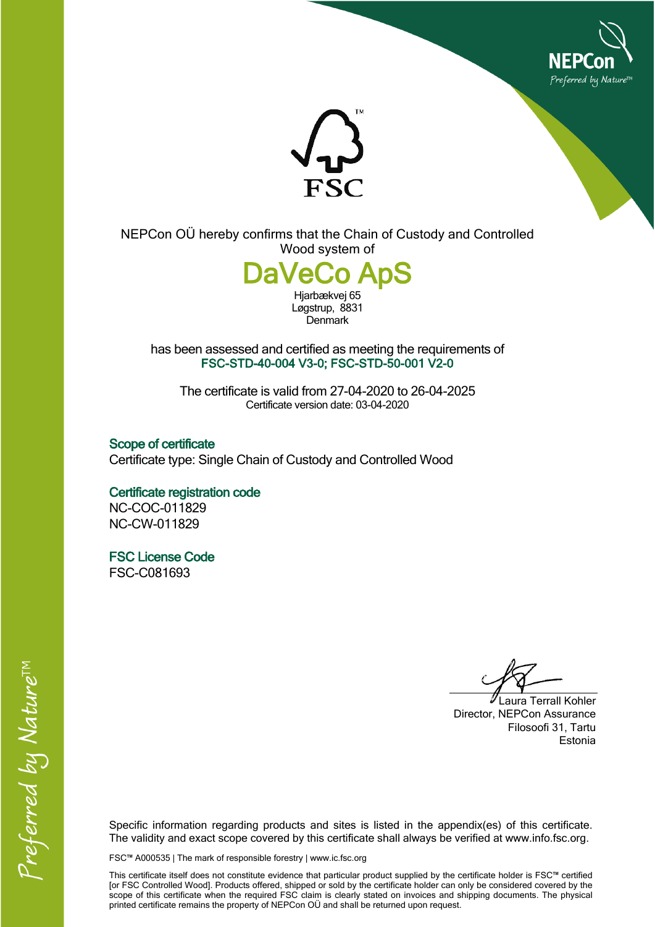



NEPCon OÜ hereby confirms that the Chain of Custody and Controlled Wood system of

## **DaVector**

Hjarbækvej 65 Løgstrup, 8831 **Denmark** 

has been assessed and certified as meeting the requirements of **FSC-STD-40-004 V3-0; FSC-STD-50-001 V2-0**

The certificate is valid from 27-04-2020 to 26-04-2025 Certificate version date: 03-04-2020

**Scope of certificate** Certificate type: Single Chain of Custody and Controlled Wood

**Certificate registration code** NC-COC-011829 NC-CW-011829

**FSC License Code** FSC-C081693

Laura Terrall Kohler Director, NEPCon Assurance Filosoofi 31, Tartu Estonia

Specific information regarding products and sites is listed in the appendix(es) of this certificate. The validity and exact scope covered by this certificate shall always be verified at www.info.fsc.org.

FSC™ A000535 | The mark of responsible forestry | www.ic.fsc.org

This certificate itself does not constitute evidence that particular product supplied by the certificate holder is FSC™ certified [or FSC Controlled Wood]. Products offered, shipped or sold by the certificate holder can only be considered covered by the scope of this certificate when the required FSC claim is clearly stated on invoices and shipping documents. The physical printed certificate remains the property of NEPCon OÜ and shall be returned upon request.